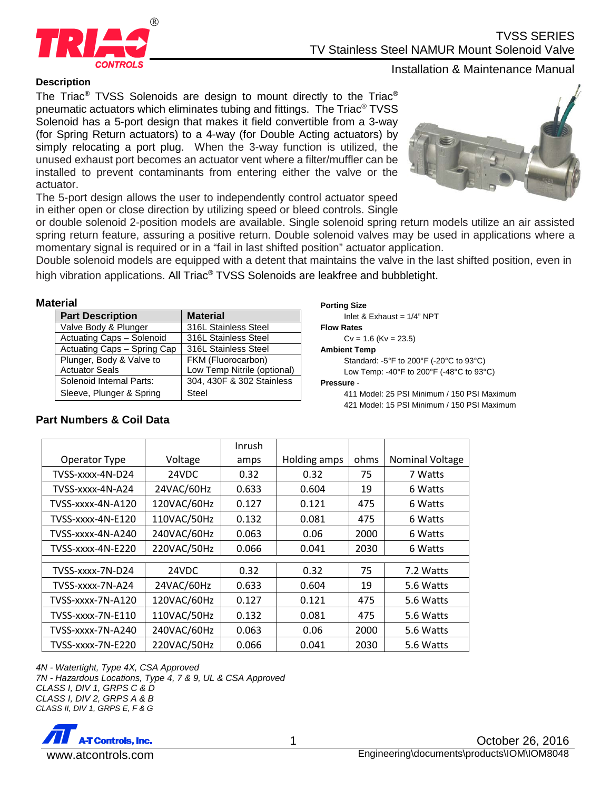

# Installation & Maintenance Manual

#### **Description**

The Triac® TVSS Solenoids are design to mount directly to the Triac® pneumatic actuators which eliminates tubing and fittings. The Triac® TVSS Solenoid has a 5-port design that makes it field convertible from a 3-way (for Spring Return actuators) to a 4-way (for Double Acting actuators) by simply relocating a port plug. When the 3-way function is utilized, the unused exhaust port becomes an actuator vent where a filter/muffler can be installed to prevent contaminants from entering either the valve or the actuator.



The 5-port design allows the user to independently control actuator speed in either open or close direction by utilizing speed or bleed controls. Single

or double solenoid 2-position models are available. Single solenoid spring return models utilize an air assisted spring return feature, assuring a positive return. Double solenoid valves may be used in applications where a momentary signal is required or in a "fail in last shifted position" actuator application.

Double solenoid models are equipped with a detent that maintains the valve in the last shifted position, even in high vibration applications. All Triac<sup>®</sup> TVSS Solenoids are leakfree and bubbletight.

| <b>Material</b> |  |
|-----------------|--|
| <b>Пані</b>     |  |

| <b>Part Description</b>     | <b>Material</b>             |
|-----------------------------|-----------------------------|
| Valve Body & Plunger        | 316L Stainless Steel        |
| Actuating Caps - Solenoid   | 316L Stainless Steel        |
| Actuating Caps - Spring Cap | 316L Stainless Steel        |
| Plunger, Body & Valve to    | FKM (Fluorocarbon)          |
| <b>Actuator Seals</b>       | Low Temp Nitrile (optional) |
| Solenoid Internal Parts:    | 304, 430F & 302 Stainless   |
| Sleeve, Plunger & Spring    | Steel                       |

# **Porting Size**

Inlet & Exhaust = 1/4" NPT **Flow Rates**  $Cv = 1.6$  (Kv = 23.5) **Ambient Temp** Standard: -5°F to 200°F (-20°C to 93°C) Low Temp: -40°F to 200°F (-48°C to 93°C)

### **Pressure** -

411 Model: 25 PSI Minimum / 150 PSI Maximum 421 Model: 15 PSI Minimum / 150 PSI Maximum

|                   |             | Inrush |              |      |                 |
|-------------------|-------------|--------|--------------|------|-----------------|
| Operator Type     | Voltage     |        | Holding amps | ohms | Nominal Voltage |
| TVSS-xxxx-4N-D24  | 24VDC       |        | 0.32         | 75   | 7 Watts         |
| TVSS-xxxx-4N-A24  | 24VAC/60Hz  | 0.633  | 0.604        | 19   | 6 Watts         |
| TVSS-xxxx-4N-A120 | 120VAC/60Hz | 0.127  | 0.121        | 475  | 6 Watts         |
| TVSS-xxxx-4N-E120 | 110VAC/50Hz | 0.132  | 0.081        | 475  | 6 Watts         |
| TVSS-xxxx-4N-A240 | 240VAC/60Hz | 0.063  | 0.06         | 2000 | 6 Watts         |
| TVSS-xxxx-4N-E220 | 220VAC/50Hz | 0.066  | 0.041        | 2030 | 6 Watts         |
|                   |             |        |              |      |                 |
| TVSS-xxxx-7N-D24  | 24VDC       | 0.32   | 0.32         | 75   | 7.2 Watts       |
| TVSS-xxxx-7N-A24  | 24VAC/60Hz  | 0.633  | 0.604        | 19   | 5.6 Watts       |
| TVSS-xxxx-7N-A120 | 120VAC/60Hz | 0.127  | 0.121        | 475  | 5.6 Watts       |
| TVSS-xxxx-7N-E110 | 110VAC/50Hz | 0.132  | 0.081        | 475  | 5.6 Watts       |
| TVSS-xxxx-7N-A240 | 240VAC/60Hz | 0.063  | 0.06         | 2000 | 5.6 Watts       |
| TVSS-xxxx-7N-E220 | 220VAC/50Hz | 0.066  | 0.041        | 2030 | 5.6 Watts       |

**Part Numbers & Coil Data**

*4N - Watertight, Type 4X, CSA Approved 7N - Hazardous Locations, Type 4, 7 & 9, UL & CSA Approved CLASS I, DIV 1, GRPS C & D CLASS I, DIV 2, GRPS A & B CLASS II, DIV 1, GRPS E, F & G*